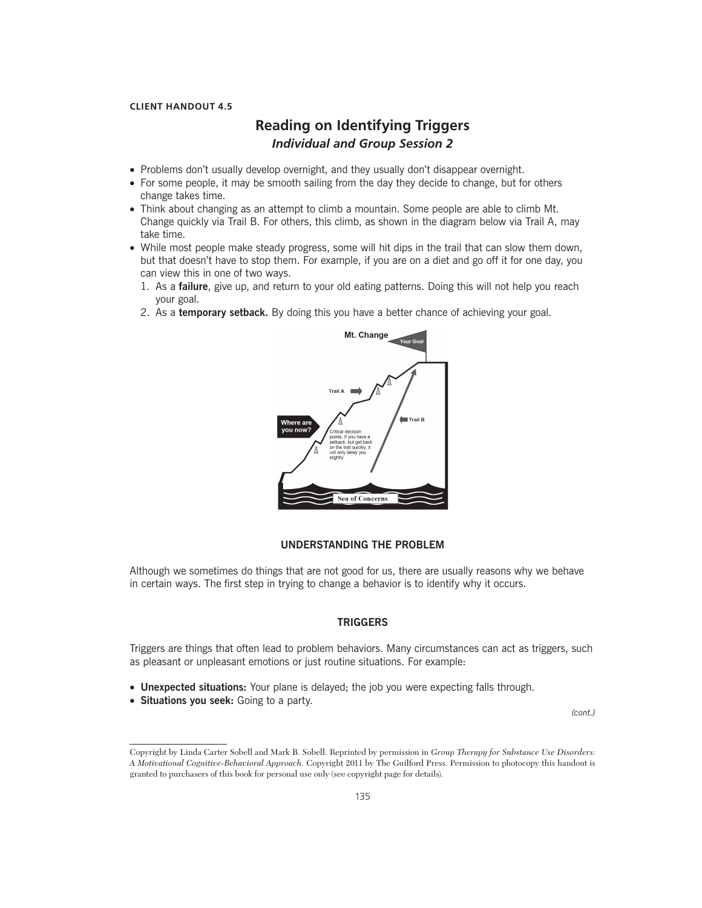## **CLIENT HANDOUT 4.5**

# **Reading on Identifying Triggers** *Individual and Group Session 2*

- Problems don't usually develop overnight, and they usually don't disappear overnight.
- For some people, it may be smooth sailing from the day they decide to change, but for others change takes time.
- Think about changing as an attempt to climb a mountain. Some people are able to climb Mt. Change quickly via Trail B. For others, this climb, as shown in the diagram below via Trail A, may take time.
- While most people make steady progress, some will hit dips in the trail that can slow them down, but that doesn't have to stop them. For example, if you are on a diet and go off it for one day, you can view this in one of two ways.
	- 1. As a **failure**, give up, and return to your old eating patterns. Doing this will not help you reach your goal.
	- 2. As a **temporary setback.** By doing this you have a better chance of achieving your goal.



## **UNDERSTANDING THE PROBLEM**

Although we sometimes do things that are not good for us, there are usually reasons why we behave in certain ways. The first step in trying to change a behavior is to identify why it occurs.

## **TRIGGERS**

Triggers are things that often lead to problem behaviors. Many circumstances can act as triggers, such as pleasant or unpleasant emotions or just routine situations. For example:

- **Unexpected situations:** Your plane is delayed; the job you were expecting falls through.
- **Situations you seek:** Going to a party.

*(cont.)*

Copyright by Linda Carter Sobell and Mark B. Sobell. Reprinted by permission in *Group Therapy for Substance Use Disorders: A Motivational Cognitive-Behavioral Approach.* Copyright 2011 by The Guilford Press. Permission to photocopy this handout is granted to purchasers of this book for personal use only (see copyright page for details).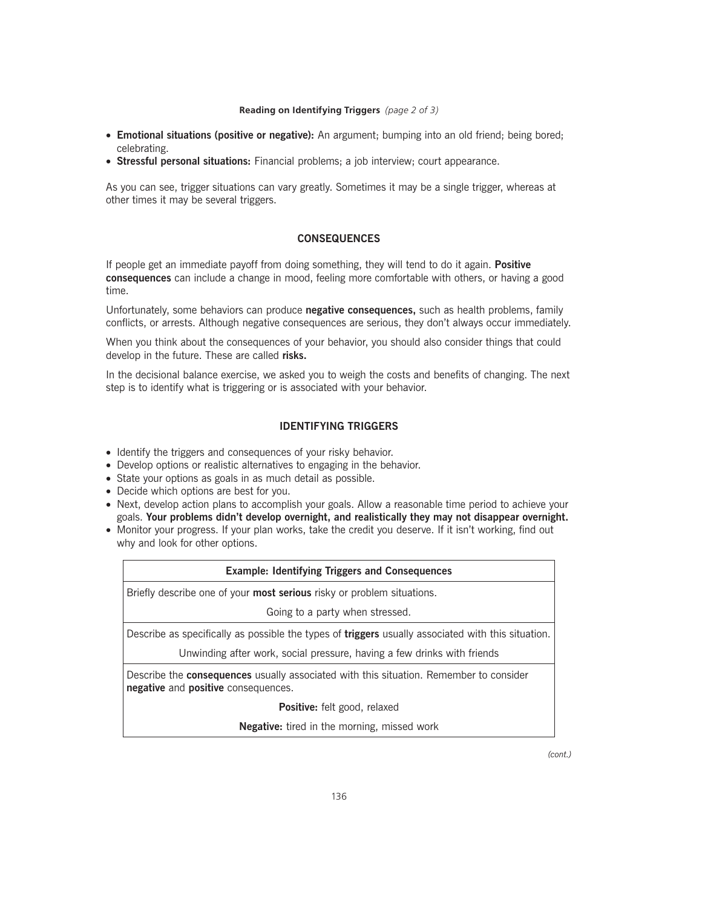#### **Reading on Identifying Triggers** *(page 2 of 3)*

- **Emotional situations (positive or negative):** An argument; bumping into an old friend; being bored; celebrating.
- **Stressful personal situations:** Financial problems; a job interview; court appearance.

As you can see, trigger situations can vary greatly. Sometimes it may be a single trigger, whereas at other times it may be several triggers.

## **CONSEQUENCES**

If people get an immediate payoff from doing something, they will tend to do it again. **Positive consequences** can include a change in mood, feeling more comfortable with others, or having a good time.

Unfortunately, some behaviors can produce **negative consequences,** such as health problems, family conflicts, or arrests. Although negative consequences are serious, they don't always occur immediately.

When you think about the consequences of your behavior, you should also consider things that could develop in the future. These are called **risks.**

In the decisional balance exercise, we asked you to weigh the costs and benefits of changing. The next step is to identify what is triggering or is associated with your behavior.

## **IDENTIFYING TRIGGERS**

- Identify the triggers and consequences of your risky behavior.
- Develop options or realistic alternatives to engaging in the behavior.
- State your options as goals in as much detail as possible.
- Decide which options are best for you.
- Next, develop action plans to accomplish your goals. Allow a reasonable time period to achieve your goals. **Your problems didn't develop overnight, and realistically they may not disappear overnight.**
- Monitor your progress. If your plan works, take the credit you deserve. If it isn't working, find out why and look for other options.

#### **Example: Identifying Triggers and Consequences**

Briefly describe one of your **most serious** risky or problem situations.

Going to a party when stressed.

Describe as specifically as possible the types of **triggers** usually associated with this situation.

Unwinding after work, social pressure, having a few drinks with friends

Describe the **consequences** usually associated with this situation. Remember to consider **negative** and **positive** consequences.

**Positive:** felt good, relaxed

**Negative:** tired in the morning, missed work

*(cont.)*